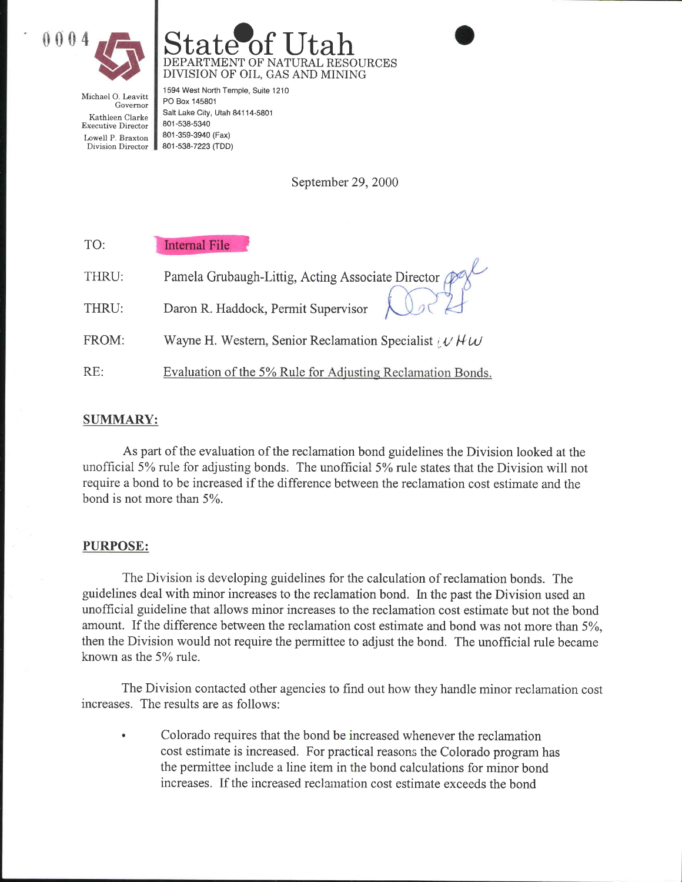



Michael O. Leavitt Governor Kathleen Clarke Executive Director Lowell P. Braxton Division Director

1594 West North Temple, Suite 1210 PO Box 145801 Salt Lake City, Utah 84114-5801 801 -538-5340 801 -3s9-3940 (Fax) 8O1-538-7223 (TDD)

September 29, 2000

| TO:   | <b>Internal File</b>                                          |
|-------|---------------------------------------------------------------|
| THRU: | Pamela Grubaugh-Littig, Acting Associate Director Pa          |
| THRU: | Daron R. Haddock, Permit Supervisor                           |
| FROM: | Wayne H. Western, Senior Reclamation Specialist $\mu$ H $\mu$ |
| RE:   | Evaluation of the 5% Rule for Adjusting Reclamation Bonds.    |

## SUMMARY:

As part of the evaluation of the reclamation bond guidelines the Division looked at the unofficial 5% rule for adjusting bonds. The unofficial 5% rule states that the Division will not require a bond to be increased if the difference between the reclamation cost estimate and the bond is not more than  $5\%$ .

## PURPOSE:

The Division is developing guidelines for the calculation of reclamation bonds. The guidelines deal with minor increases to the reclamation bond. In the past the Division used an unofficial guideline that allows minor increases to the reclamation cost estimate but not the bond amount. If the difference between the reclamation cost estimate and bond was not more than 5%, then the Division would not require the permittee to adjust the bond. The unofficial rule became known as the 5Yo ruIe.

The Division contacted other agencies to find out how they handle minor reclamation cost increases. The results are as follows:

Colorado requires that the bond be increased whenever the reclamation cost estimate is increased. For practical reasons the Colorado program has the permittee include a line item in the bond calculations for minor bond increases. If the increased reclaination cost estimate exceeds the bond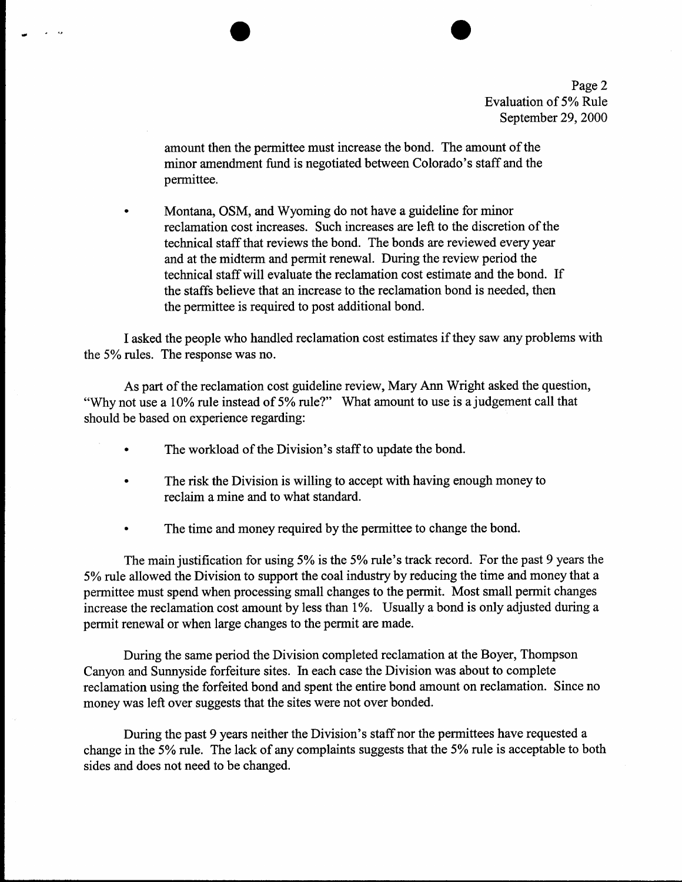Page 2 Evaluation of 5% Rule September 29, 2000

amount then the permittee must increase the bond. The amount of the minor amendment fund is negotiated between Colorado's staff and the permittee.

Montana, OSM, and Wyoming do not have a guideline for minor reclamation cost increases. Such increases are left to the discretion of the technical staff that reviews the bond. The bonds are reviewed every year and at the midterm and permit renewal. During the review period the technical staff will evaluate the reclamation cost estimate and the bond. If the staffs believe that an increase to the reclamation bond is needed, then the permittee is required to post additional bond.

I asked the people who handled reclamation cost estimates if they saw any problems with the 5% rules. The response was no.

As part of the reclamation cost guideline review, Mary Ann Wright asked the question, "Why not use a 10% rule instead of 5% rule?" What amount to use is a judgement call that should be based on experience regarding:

- The workload of the Division's staff to update the bond.
- The risk the Division is willing to accept with having enough money to reclaim a mine and to what standard.
- The time and money required by the permittee to change the bond.

The main justification for using 5% is the 5% rule's track record. For the past 9 years the 5% rule allowed the Division to support the coal industry by reducing the time and money that a permittee must spend when processing small changes to the permit. Most small permit changes increase the reclamation cost amount by less than 1%. Usually a bond is only adjusted during <sup>a</sup> permit renewal or when large changes to the permit are made.

During the same period the Division completed reclamation at the Boyer, Thompson Canyon and Sunnyside forfeiture sites. In each case the Division was about to complete reclamation using the forfeited bond and spent the entire bond amount on reclamation. Since no money was left over suggests that the sites were not over bonded.

During the past 9 years neither the Division's staff nor the permiffees have requested a change in the 5% rule. The lack of any complaints suggests that the 5% rule is acceptable to both sides and does not need to be changed.